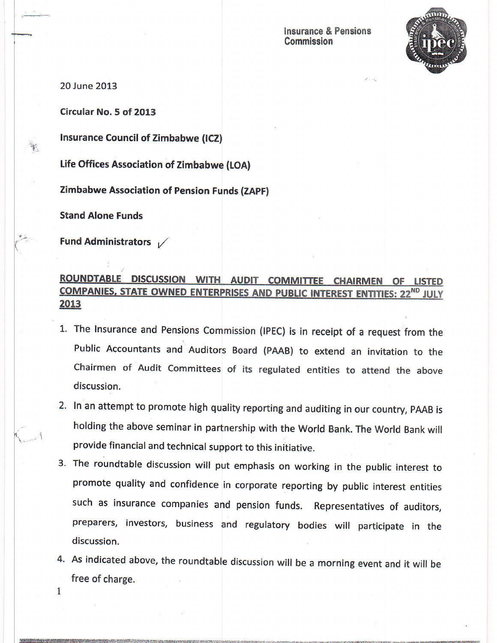

20 June 2013

Circular No. 5 of 2013

lnsurance Council of Zimbabwe (lCZ)

life Offices Association of Zimbabwe (tOA]

Zimbabwe Association of Pension Funds (ZAPF,

Stand Alone Funds

Fund Administrators  $\sqrt{}$ 

## ROUNDTABLE DISCUSSION WITH AUDIT COMMITTEE **CHAIRMEN OF LISTED** COMPANIES, STATE OWNED ENTERPRISES AND PUBLIC INTEREST ENTITIES: 22<sup>ND</sup> JULY 2013

- 1. The Insurance and Pensions Commission (IPEC) is in receipt of a request from the Public Accountants and Auditors Board (PAAB) to extend an invitation to the Chairmen of Audit Committees of its regulated entities to attend the above discussion.
- 2. In an attempt to promote high quality reporting and auditing in our country, PAAB is holding the above seminar in partnership with the World Bank. The World Bank will provide financial and technical support to this initiative.
- The roundtable discussion will put emphasis on working in the public interest to promote quality and confidence in corporate reporting by public interest entities such as insurance companies and pension funds. Representatives of auditors, preparers, investors, business and regulatory bodies will participate in the discussion.
- As indicated above, the roundtable discussion will be a morning event and it will be 4. free of charge.

F-r?\*-:&!1sY++;:rtl,lliuel+m"=t

 $\mathbf{1}$